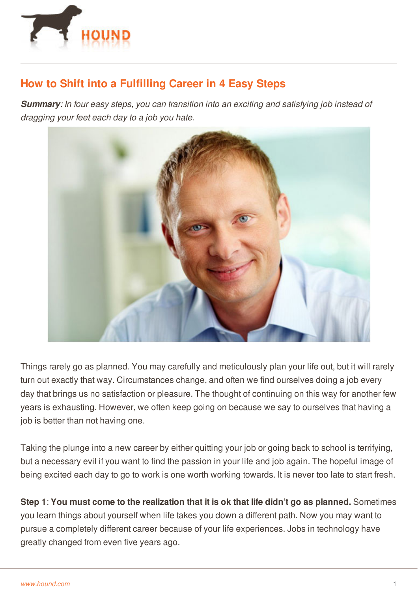

## **How to Shift into a Fulfilling Career in 4 Easy Steps**

*Summary: In four easy steps, you can transition into an exciting and satisfying job instead of dragging your feet each day to a job you hate.*



Things rarely go as planned. You may carefully and meticulously plan your life out, but it will rarely turn out exactly that way. Circumstances change, and often we find ourselves doing a job every day that brings us no satisfaction or pleasure. The thought of continuing on this way for another few years is exhausting. However, we often keep going on because we say to ourselves that having a job is better than not having one.

Taking the plunge into a new career by either quitting your job or going back to school is terrifying, but a necessary evil if you want to find the passion in your life and job again. The hopeful image of being excited each day to go to work is one worth working towards. It is never too late to start fresh.

**Step 1**: **You must come to the realization that it is ok that life didn't go as planned.** Sometimes you [learn](http://www.hound.com/) things about yourself when life takes you down a different path. Now you may want to pursue a completely different career because of your life experiences. Jobs in technology have greatly changed from even five years ago.